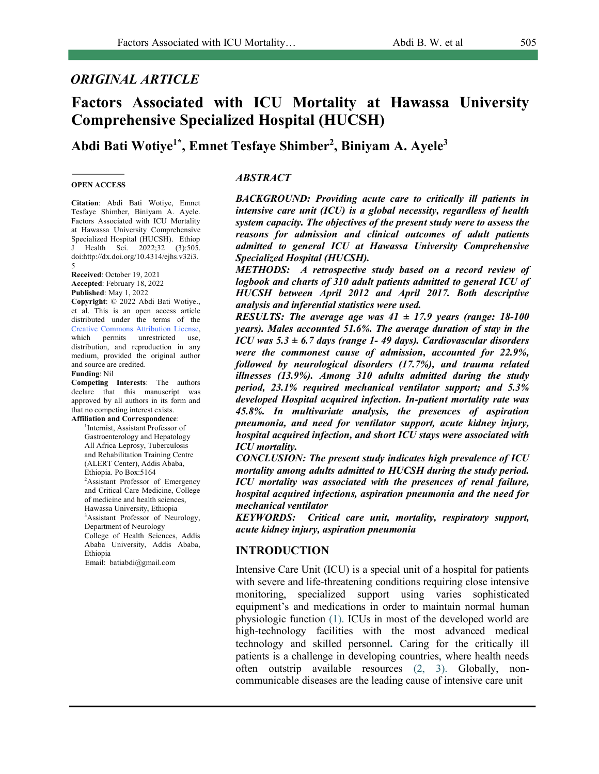# *ORIGINAL ARTICLE*

# **Factors Associated with ICU Mortality at Hawassa University Comprehensive Specialized Hospital (HUCSH)**

# **Abdi Bati Wotiye1\* , Emnet Tesfaye Shimber2 , Biniyam A. Ayele3**

#### **OPEN ACCESS**

**Citation**: Abdi Bati Wotiye, Emnet Tesfaye Shimber, Biniyam A. Ayele. Factors Associated with ICU Mortality at Hawassa University Comprehensive Specialized Hospital (HUCSH). Ethiop J Health Sci. 2022;32 (3):505. doi:http://dx.doi.org/10.4314/ejhs.v32i3. 5

**Received**: October 19, 2021 **Accepted**: February 18, 2022 **Published**: May 1, 2022

**Copyright**: © 2022 Abdi Bati Wotiye., et al. This is an open access article distributed under the terms of the Creative Commons Attribution License, which permits unrestricted use, distribution, and reproduction in any medium, provided the original author and source are credited.

#### **Funding**: Nil

**Competing Interests**: The authors declare that this manuscript was approved by all authors in its form and that no competing interest exists. **Affiliation and Correspondence**:

1 Internist, Assistant Professor of

Gastroenterology and Hepatology All Africa Leprosy, Tuberculosis and Rehabilitation Training Centre (ALERT Center), Addis Ababa, Ethiopia. Po Box:5164 2 Assistant Professor of Emergency and Critical Care Medicine, College of medicine and health sciences, Hawassa University, Ethiopia 3 Assistant Professor of Neurology, Department of Neurology College of Health Sciences, Addis Ababa University, Addis Ababa, Ethiopia

Email: batiabdi@gmail.com

### *ABSTRACT*

*BACKGROUND: Providing acute care to critically ill patients in intensive care unit (ICU) is a global necessity, regardless of health system capacity. The objectives of the present study were to assess the reasons for admission and clinical outcomes of adult patients admitted to general ICU at Hawassa University Comprehensive Specialized Hospital (HUCSH).*

*METHODS: A retrospective study based on a record review of logbook and charts of 310 adult patients admitted to general ICU of HUCSH between April 2012 and April 2017. Both descriptive analysis and inferential statistics were used.*

*RESULTS: The average age was*  $41 \pm 17.9$  *years (range: 18-100 years). Males accounted 51.6%. The average duration of stay in the ICU was 5.3 ± 6.7 days (range 1- 49 days). Cardiovascular disorders were the commonest cause of admission, accounted for 22.9%, followed by neurological disorders (17.7%), and trauma related illnesses (13.9%). Among 310 adults admitted during the study period, 23.1% required mechanical ventilator support; and 5.3% developed Hospital acquired infection. In-patient mortality rate was 45.8%. In multivariate analysis, the presences of aspiration pneumonia, and need for ventilator support, acute kidney injury, hospital acquired infection, and short ICU stays were associated with ICU mortality.*

*CONCLUSION: The present study indicates high prevalence of ICU mortality among adults admitted to HUCSH during the study period. ICU mortality was associated with the presences of renal failure, hospital acquired infections, aspiration pneumonia and the need for mechanical ventilator* 

*KEYWORDS: Critical care unit, mortality, respiratory support, acute kidney injury, aspiration pneumonia*

## **INTRODUCTION**

Intensive Care Unit (ICU) is a special unit of a hospital for patients with severe and life-threatening conditions requiring close intensive monitoring, specialized support using varies sophisticated equipment's and medications in order to maintain normal human physiologic function (1). ICUs in most of the developed world are high-technology facilities with the most advanced medical technology and skilled personnel**.** Caring for the critically ill patients is a challenge in developing countries, where health needs often outstrip available resources (2, 3). Globally, noncommunicable diseases are the leading cause of intensive care unit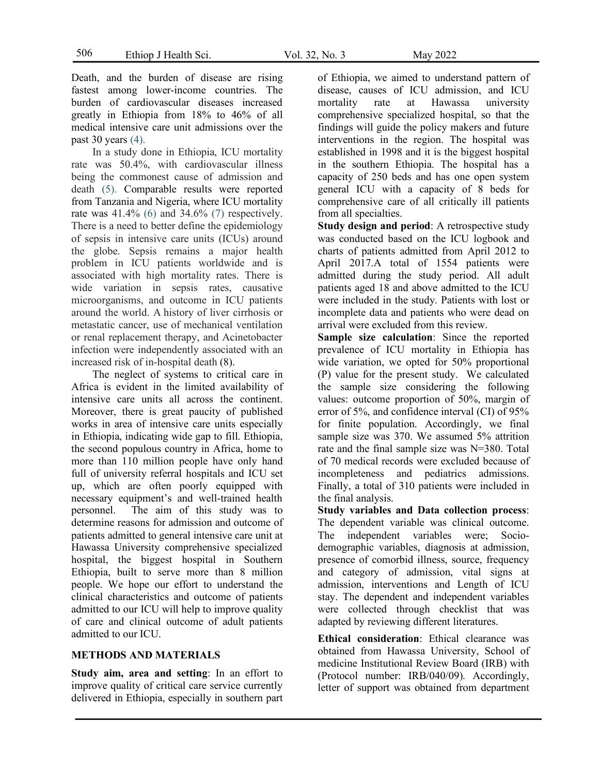506

Death, and the burden of disease are rising fastest among lower-income countries. The burden of cardiovascular diseases increased greatly in Ethiopia from 18% to 46% of all medical intensive care unit admissions over the past 30 years (4).

In a study done in Ethiopia, ICU mortality rate was 50.4%, with cardiovascular illness being the commonest cause of admission and death (5). Comparable results were reported from Tanzania and Nigeria, where ICU mortality rate was  $41.4\%$  (6) and  $34.6\%$  (7) respectively. There is a need to better define the epidemiology of sepsis in intensive care units (ICUs) around the globe. Sepsis remains a major health problem in ICU patients worldwide and is associated with high mortality rates. There is wide variation in sepsis rates, causative microorganisms, and outcome in ICU patients around the world. A history of liver cirrhosis or metastatic cancer, use of mechanical ventilation or renal replacement therapy, and Acinetobacter infection were independently associated with an increased risk of in-hospital death (8).

The neglect of systems to critical care in Africa is evident in the limited availability of intensive care units all across the continent. Moreover, there is great paucity of published works in area of intensive care units especially in Ethiopia, indicating wide gap to fill. Ethiopia, the second populous country in Africa, home to more than 110 million people have only hand full of university referral hospitals and ICU set up, which are often poorly equipped with necessary equipment's and well-trained health personnel. The aim of this study was to determine reasons for admission and outcome of patients admitted to general intensive care unit at Hawassa University comprehensive specialized hospital, the biggest hospital in Southern Ethiopia, built to serve more than 8 million people. We hope our effort to understand the clinical characteristics and outcome of patients admitted to our ICU will help to improve quality of care and clinical outcome of adult patients admitted to our ICU.

### **METHODS AND MATERIALS**

**Study aim, area and setting**: In an effort to improve quality of critical care service currently delivered in Ethiopia, especially in southern part of Ethiopia, we aimed to understand pattern of disease, causes of ICU admission, and ICU mortality rate at Hawassa university comprehensive specialized hospital, so that the findings will guide the policy makers and future interventions in the region. The hospital was established in 1998 and it is the biggest hospital in the southern Ethiopia. The hospital has a capacity of 250 beds and has one open system general ICU with a capacity of 8 beds for comprehensive care of all critically ill patients from all specialties.

**Study design and period**: A retrospective study was conducted based on the ICU logbook and charts of patients admitted from April 2012 to April 2017.A total of 1554 patients were admitted during the study period. All adult patients aged 18 and above admitted to the ICU were included in the study. Patients with lost or incomplete data and patients who were dead on arrival were excluded from this review.

**Sample size calculation**: Since the reported prevalence of ICU mortality in Ethiopia has wide variation, we opted for 50% proportional (P) value for the present study. We calculated the sample size considering the following values: outcome proportion of 50%, margin of error of 5%, and confidence interval (CI) of 95% for finite population. Accordingly, we final sample size was 370. We assumed 5% attrition rate and the final sample size was N=380. Total of 70 medical records were excluded because of incompleteness and pediatrics admissions. Finally, a total of 310 patients were included in the final analysis.

**Study variables and Data collection process**: The dependent variable was clinical outcome. The independent variables were; Sociodemographic variables, diagnosis at admission, presence of comorbid illness, source, frequency and category of admission, vital signs at admission, interventions and Length of ICU stay. The dependent and independent variables were collected through checklist that was adapted by reviewing different literatures.

**Ethical consideration**: Ethical clearance was obtained from Hawassa University, School of medicine Institutional Review Board (IRB) with (Protocol number: IRB/040/09). Accordingly, letter of support was obtained from department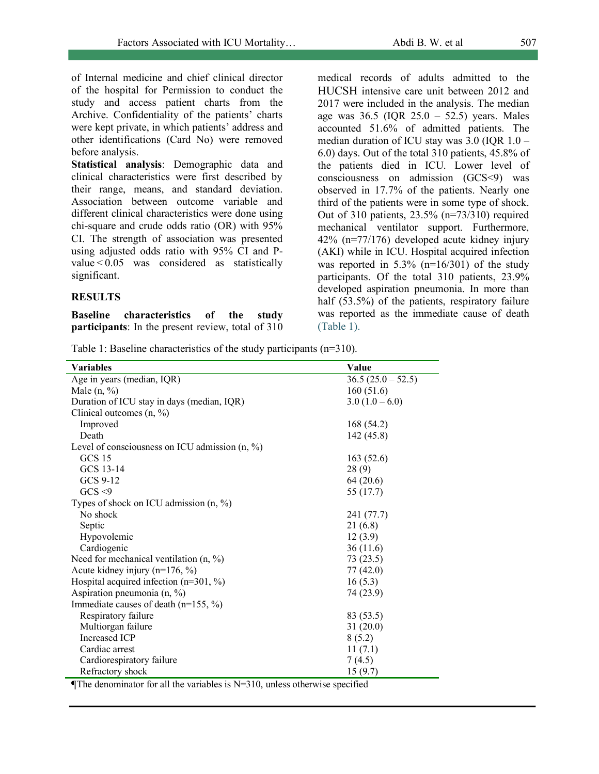of Internal medicine and chief clinical director of the hospital for Permission to conduct the study and access patient charts from the Archive. Confidentiality of the patients' charts were kept private, in which patients' address and other identifications (Card No) were removed before analysis.

**Statistical analysis**: Demographic data and clinical characteristics were first described by their range, means, and standard deviation. Association between outcome variable and different clinical characteristics were done using chi-square and crude odds ratio (OR) with 95% CI. The strength of association was presented using adjusted odds ratio with 95% CI and Pvalue < 0.05 was considered as statistically significant.

## **RESULTS**

**Baseline characteristics of the study participants**: In the present review, total of 310 medical records of adults admitted to the HUCSH intensive care unit between 2012 and 2017 were included in the analysis. The median age was  $36.5$  (IQR  $25.0 - 52.5$ ) years. Males accounted 51.6% of admitted patients. The median duration of ICU stay was 3.0 (IQR 1.0 – 6.0) days. Out of the total 310 patients, 45.8% of the patients died in ICU. Lower level of consciousness on admission (GCS<9) was observed in 17.7% of the patients. Nearly one third of the patients were in some type of shock. Out of 310 patients, 23.5% (n=73/310) required mechanical ventilator support. Furthermore, 42% (n=77/176) developed acute kidney injury (AKI) while in ICU. Hospital acquired infection was reported in  $5.3\%$  (n=16/301) of the study participants. Of the total 310 patients, 23.9% developed aspiration pneumonia. In more than half (53.5%) of the patients, respiratory failure was reported as the immediate cause of death (Table 1).

Table 1: Baseline characteristics of the study participants (n=310).

| <b>Variables</b>                                 | Value             |
|--------------------------------------------------|-------------------|
| Age in years (median, IQR)                       | $36.5(25.0-52.5)$ |
| Male $(n, %)$                                    | 160(51.6)         |
| Duration of ICU stay in days (median, IQR)       | $3.0(1.0-6.0)$    |
| Clinical outcomes $(n, %)$                       |                   |
| Improved                                         | 168 (54.2)        |
| Death                                            | 142(45.8)         |
| Level of consciousness on ICU admission $(n, %)$ |                   |
| GCS 15                                           | 163(52.6)         |
| GCS 13-14                                        | 28(9)             |
| GCS 9-12                                         | 64(20.6)          |
| GCS < 9                                          | 55 (17.7)         |
| Types of shock on ICU admission $(n, %)$         |                   |
| No shock                                         | 241 (77.7)        |
| Septic                                           | 21(6.8)           |
| Hypovolemic                                      | 12(3.9)           |
| Cardiogenic                                      | 36(11.6)          |
| Need for mechanical ventilation $(n, %)$         | 73 (23.5)         |
| Acute kidney injury $(n=176, %)$                 | 77(42.0)          |
| Hospital acquired infection ( $n=301, \%$ )      | 16(5.3)           |
| Aspiration pneumonia $(n, %)$                    | 74 (23.9)         |
| Immediate causes of death ( $n=155$ , %)         |                   |
| Respiratory failure                              | 83 (53.5)         |
| Multiorgan failure                               | 31(20.0)          |
| <b>Increased ICP</b>                             | 8(5.2)            |
| Cardiac arrest                                   | 11(7.1)           |
| Cardiorespiratory failure                        | 7(4.5)            |
| Refractory shock                                 | 15(9.7)           |

**The denominator for all the variables is N=310, unless otherwise specified**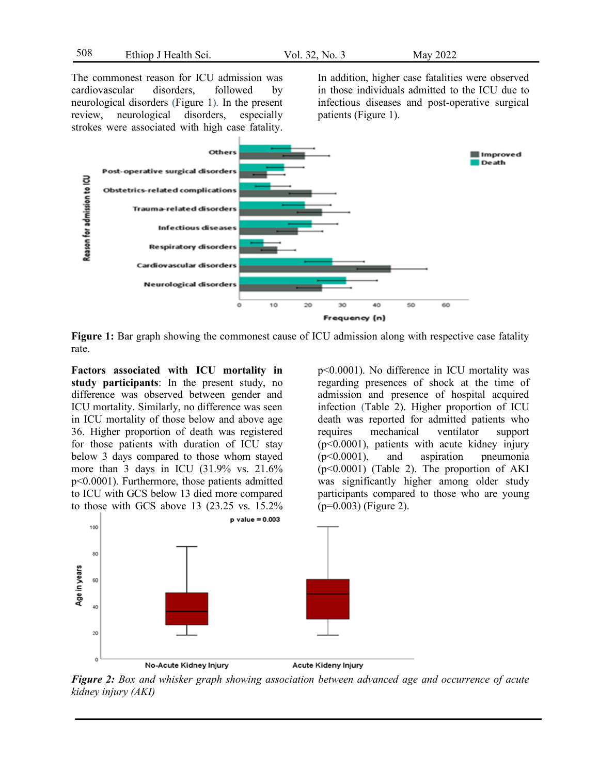508

The commonest reason for ICU admission was cardiovascular disorders, followed by neurological disorders (Figure 1). In the present review, neurological disorders, especially strokes were associated with high case fatality.

In addition, higher case fatalities were observed in those individuals admitted to the ICU due to infectious diseases and post-operative surgical patients (Figure 1).



**Figure 1:** Bar graph showing the commonest cause of ICU admission along with respective case fatality rate.

**Factors associated with ICU mortality in study participants**: In the present study, no difference was observed between gender and ICU mortality. Similarly, no difference was seen in ICU mortality of those below and above age 36. Higher proportion of death was registered for those patients with duration of ICU stay below 3 days compared to those whom stayed more than 3 days in ICU (31.9% vs. 21.6% p<0.0001). Furthermore, those patients admitted to ICU with GCS below 13 died more compared to those with GCS above 13 (23.25 vs. 15.2%

regarding presences of shock at the time of admission and presence of hospital acquired infection (Table 2). Higher proportion of ICU death was reported for admitted patients who requires mechanical ventilator support (p<0.0001), patients with acute kidney injury (p<0.0001), and aspiration pneumonia  $(p<0.0001)$  (Table 2). The proportion of AKI was significantly higher among older study participants compared to those who are young  $(p=0.003)$  (Figure 2).

p<0.0001). No difference in ICU mortality was



*Figure 2: Box and whisker graph showing association between advanced age and occurrence of acute kidney injury (AKI)*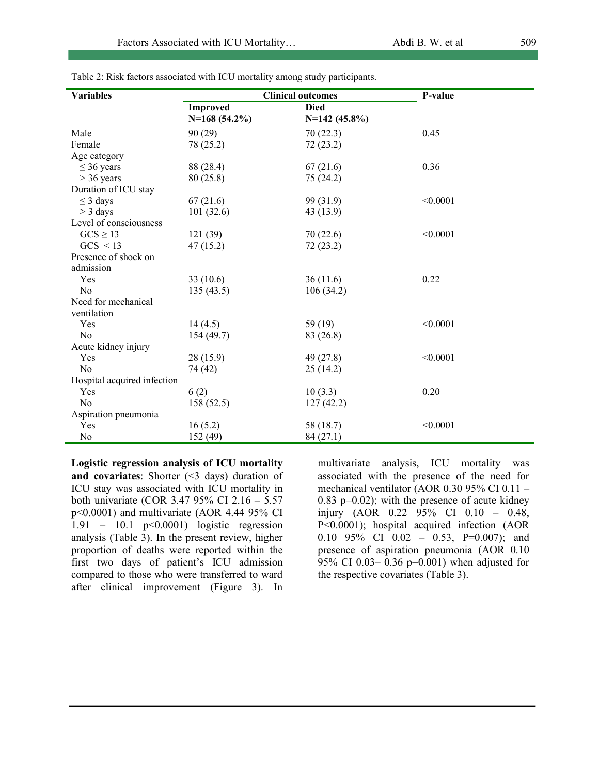| <b>Variables</b>            |                                | <b>Clinical outcomes</b> | P-value  |
|-----------------------------|--------------------------------|--------------------------|----------|
|                             | <b>Improved</b><br><b>Died</b> |                          |          |
|                             | $N=168(54.2\%)$                | $N=142(45.8\%)$          |          |
| Male                        | 90(29)                         | 70(22.3)                 | 0.45     |
| Female                      | 78 (25.2)                      | 72(23.2)                 |          |
| Age category                |                                |                          |          |
| $\leq$ 36 years             | 88 (28.4)                      | 67(21.6)                 | 0.36     |
| $>$ 36 years                | 80 (25.8)                      | 75 (24.2)                |          |
| Duration of ICU stay        |                                |                          |          |
| $\leq$ 3 days               | 67(21.6)                       | 99 (31.9)                | < 0.0001 |
| $>$ 3 days                  | 101(32.6)                      | 43 (13.9)                |          |
| Level of consciousness      |                                |                          |          |
| $GCS \geq 13$               | 121 (39)                       | 70(22.6)                 | < 0.0001 |
| GCS < 13                    | 47(15.2)                       | 72(23.2)                 |          |
| Presence of shock on        |                                |                          |          |
| admission                   |                                |                          |          |
| Yes                         | 33(10.6)                       | 36(11.6)                 | 0.22     |
| No                          | 135(43.5)                      | 106(34.2)                |          |
| Need for mechanical         |                                |                          |          |
| ventilation                 |                                |                          |          |
| Yes                         | 14(4.5)                        | 59 (19)                  | < 0.0001 |
| N <sub>0</sub>              | 154(49.7)                      | 83 (26.8)                |          |
| Acute kidney injury         |                                |                          |          |
| Yes                         | 28(15.9)                       | 49 (27.8)                | < 0.0001 |
| No                          | 74 (42)                        | 25(14.2)                 |          |
| Hospital acquired infection |                                |                          |          |
| Yes                         | 6(2)                           | 10(3.3)                  | 0.20     |
| N <sub>0</sub>              | 158(52.5)                      | 127(42.2)                |          |
| Aspiration pneumonia        |                                |                          |          |
| Yes                         | 16(5.2)                        | 58 (18.7)                | < 0.0001 |
| N <sub>0</sub>              | 152 (49)                       | 84(27.1)                 |          |

Table 2: Risk factors associated with ICU mortality among study participants.

**Logistic regression analysis of ICU mortality and covariates**: Shorter (<3 days) duration of ICU stay was associated with ICU mortality in both univariate (COR 3.47 95% CI 2.16 – 5.57 p<0.0001) and multivariate (AOR 4.44 95% CI 1.91 – 10.1 p<0.0001) logistic regression analysis (Table 3). In the present review, higher proportion of deaths were reported within the first two days of patient's ICU admission compared to those who were transferred to ward after clinical improvement (Figure 3). In

multivariate analysis, ICU mortality was associated with the presence of the need for mechanical ventilator (AOR 0.30 95% CI 0.11 –  $0.83$  p= $0.02$ ); with the presence of acute kidney injury (AOR 0.22 95% CI 0.10 – 0.48, P<0.0001); hospital acquired infection (AOR 0.10 95% CI 0.02 - 0.53, P=0.007); and presence of aspiration pneumonia (AOR 0.10 95% CI 0.03– 0.36 p=0.001) when adjusted for the respective covariates (Table 3).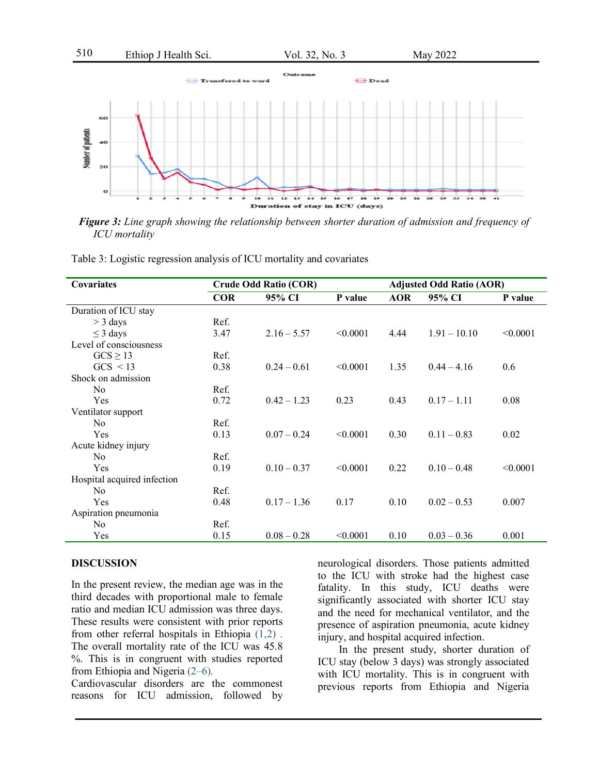

*Figure 3: Line graph showing the relationship between shorter duration of admission and frequency of ICU mortality*

Table 3: Logistic regression analysis of ICU mortality and covariates

| <b>Covariates</b>           | <b>Crude Odd Ratio (COR)</b> |               |          | <b>Adjusted Odd Ratio (AOR)</b> |                |          |
|-----------------------------|------------------------------|---------------|----------|---------------------------------|----------------|----------|
|                             | <b>COR</b>                   | 95% CI        | P value  | <b>AOR</b>                      | 95% CI         | P value  |
| Duration of ICU stay        |                              |               |          |                                 |                |          |
| $>$ 3 days                  | Ref.                         |               |          |                                 |                |          |
| $\leq$ 3 days               | 3.47                         | $2.16 - 5.57$ | < 0.0001 | 4.44                            | $1.91 - 10.10$ | < 0.0001 |
| Level of consciousness      |                              |               |          |                                 |                |          |
| $GCS \geq 13$               | Ref.                         |               |          |                                 |                |          |
| $GCS \leq 13$               | 0.38                         | $0.24 - 0.61$ | < 0.0001 | 1.35                            | $0.44 - 4.16$  | 0.6      |
| Shock on admission          |                              |               |          |                                 |                |          |
| N <sub>0</sub>              | Ref.                         |               |          |                                 |                |          |
| Yes                         | 0.72                         | $0.42 - 1.23$ | 0.23     | 0.43                            | $0.17 - 1.11$  | 0.08     |
| Ventilator support          |                              |               |          |                                 |                |          |
| N <sub>0</sub>              | Ref.                         |               |          |                                 |                |          |
| Yes                         | 0.13                         | $0.07 - 0.24$ | < 0.0001 | 0.30                            | $0.11 - 0.83$  | 0.02     |
| Acute kidney injury         |                              |               |          |                                 |                |          |
| N <sub>0</sub>              | Ref.                         |               |          |                                 |                |          |
| Yes                         | 0.19                         | $0.10 - 0.37$ | < 0.0001 | 0.22                            | $0.10 - 0.48$  | < 0.0001 |
| Hospital acquired infection |                              |               |          |                                 |                |          |
| No.                         | Ref.                         |               |          |                                 |                |          |
| Yes                         | 0.48                         | $0.17 - 1.36$ | 0.17     | 0.10                            | $0.02 - 0.53$  | 0.007    |
| Aspiration pneumonia        |                              |               |          |                                 |                |          |
| No                          | Ref.                         |               |          |                                 |                |          |
| Yes                         | 0.15                         | $0.08 - 0.28$ | < 0.0001 | 0.10                            | $0.03 - 0.36$  | 0.001    |

#### **DISCUSSION**

In the present review, the median age was in the third decades with proportional male to female ratio and median ICU admission was three days. These results were consistent with prior reports from other referral hospitals in Ethiopia (1,2) . The overall mortality rate of the ICU was 45.8 %. This is in congruent with studies reported from Ethiopia and Nigeria (2–6).

Cardiovascular disorders are the commonest reasons for ICU admission, followed by neurological disorders. Those patients admitted to the ICU with stroke had the highest case fatality. In this study, ICU deaths were significantly associated with shorter ICU stay and the need for mechanical ventilator, and the presence of aspiration pneumonia, acute kidney injury, and hospital acquired infection.

In the present study, shorter duration of ICU stay (below 3 days) was strongly associated with ICU mortality. This is in congruent with previous reports from Ethiopia and Nigeria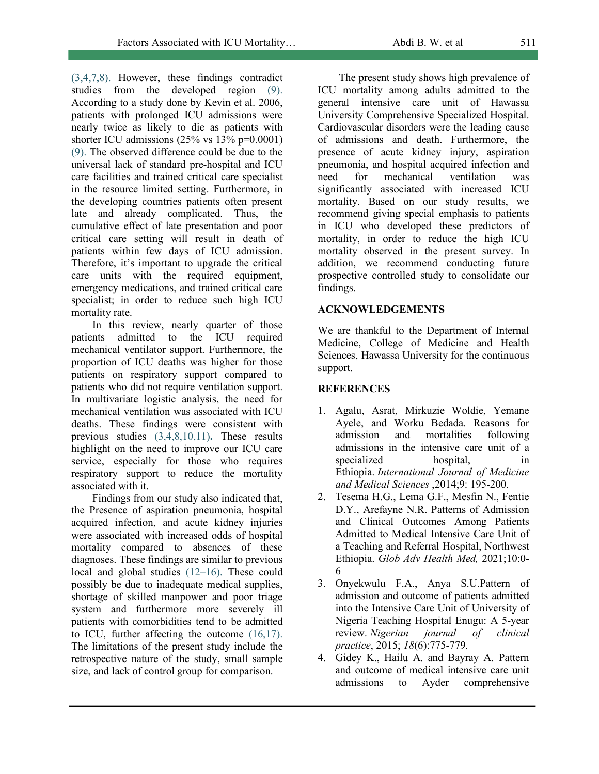(3,4,7,8). However, these findings contradict studies from the developed region (9). According to a study done by Kevin et al. 2006, patients with prolonged ICU admissions were nearly twice as likely to die as patients with shorter ICU admissions (25% vs 13% p=0.0001) (9). The observed difference could be due to the universal lack of standard pre-hospital and ICU care facilities and trained critical care specialist in the resource limited setting. Furthermore, in the developing countries patients often present late and already complicated. Thus, the cumulative effect of late presentation and poor critical care setting will result in death of patients within few days of ICU admission. Therefore, it's important to upgrade the critical care units with the required equipment. emergency medications, and trained critical care specialist; in order to reduce such high ICU mortality rate.

In this review, nearly quarter of those patients admitted to the ICU required mechanical ventilator support. Furthermore, the proportion of ICU deaths was higher for those patients on respiratory support compared to patients who did not require ventilation support. In multivariate logistic analysis, the need for mechanical ventilation was associated with ICU deaths. These findings were consistent with previous studies (3,4,8,10,11)**.** These results highlight on the need to improve our ICU care service, especially for those who requires respiratory support to reduce the mortality associated with it.

Findings from our study also indicated that, the Presence of aspiration pneumonia, hospital acquired infection, and acute kidney injuries were associated with increased odds of hospital mortality compared to absences of these diagnoses. These findings are similar to previous local and global studies (12–16). These could possibly be due to inadequate medical supplies, shortage of skilled manpower and poor triage system and furthermore more severely ill patients with comorbidities tend to be admitted to ICU, further affecting the outcome (16,17). The limitations of the present study include the retrospective nature of the study, small sample size, and lack of control group for comparison.

The present study shows high prevalence of ICU mortality among adults admitted to the general intensive care unit of Hawassa University Comprehensive Specialized Hospital. Cardiovascular disorders were the leading cause of admissions and death. Furthermore, the presence of acute kidney injury, aspiration pneumonia, and hospital acquired infection and need for mechanical ventilation was significantly associated with increased ICU mortality. Based on our study results, we recommend giving special emphasis to patients in ICU who developed these predictors of mortality, in order to reduce the high ICU mortality observed in the present survey. In addition, we recommend conducting future prospective controlled study to consolidate our findings.

## **ACKNOWLEDGEMENTS**

We are thankful to the Department of Internal Medicine, College of Medicine and Health Sciences, Hawassa University for the continuous support.

### **REFERENCES**

- 1. Agalu, Asrat, Mirkuzie Woldie, Yemane Ayele, and Worku Bedada. Reasons for admission and mortalities following admissions in the intensive care unit of a specialized hospital, in Ethiopia. *International Journal of Medicine and Medical Sciences* ,2014;9: 195-200.
- 2. Tesema H.G., Lema G.F., Mesfin N., Fentie D.Y., Arefayne N.R. Patterns of Admission and Clinical Outcomes Among Patients Admitted to Medical Intensive Care Unit of a Teaching and Referral Hospital, Northwest Ethiopia. *Glob Adv Health Med,* 2021;10:0- 6
- 3. Onyekwulu F.A., Anya S.U.Pattern of admission and outcome of patients admitted into the Intensive Care Unit of University of Nigeria Teaching Hospital Enugu: A 5-year review. *Nigerian journal of clinical practice*, 2015; *18*(6):775-779.
- 4. Gidey K., Hailu A. and Bayray A. Pattern and outcome of medical intensive care unit admissions to Ayder comprehensive